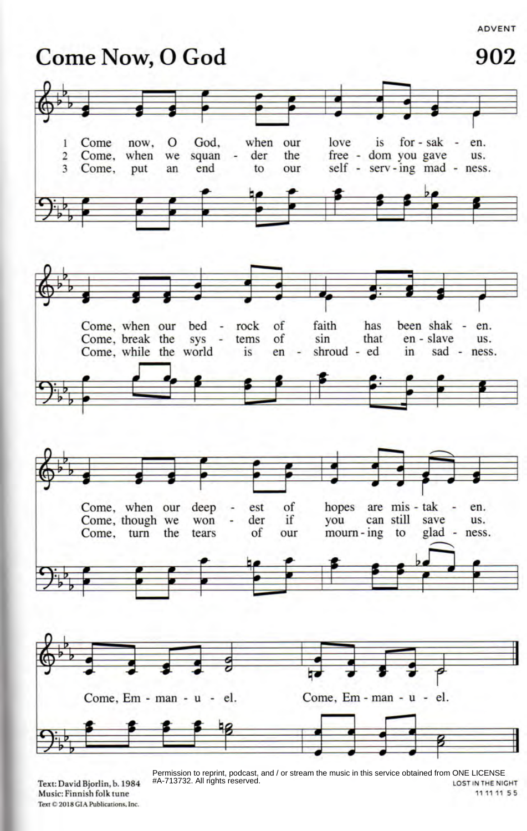

Text: David Bjorlin, b. 1984 Music: Finnish folk tune **Text C 2018 GIA Publications, Inc.**

LOST IN THE NIGHT Permission to reprint, podcast, and / or stream the music in this service obtained from ONE LICENSE #A-713732. All rights reserved.

11 11 11 55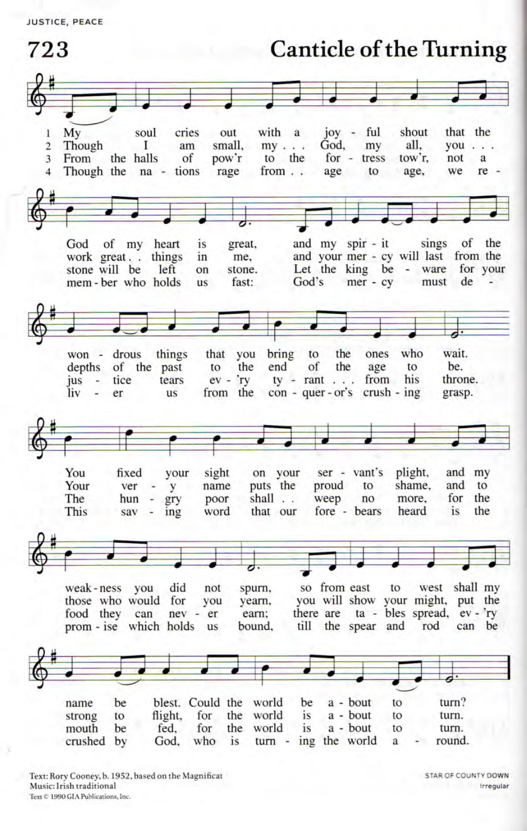**JUSTICE, PEACE** 

**Canticle of the Turning** 723 with a joy - ful shout that the My soul cries out 1 Though am small,  $my \dots$ God, my all.  $vou$ ...  $\overline{2}$ L From for - tress  $\overline{3}$ the halls of pow'r to the tow'r. not a Though the na - tions rage  $from \dots$ age to age, we re - $\Delta$ sings and my spir - it of God of my heart is great, the and your mer - cy will last from the work great. things in me, Let the king be - ware for your stone will be  $left$  $_{\text{on}}$ stone. mer - cy must God's de mem-ber who holds us fast: who wait. won drous things that you bring to the ones depths of the past to the end of the age to be. his throne. jus tice tears  $ev - rv$  $ty - rant \dots$ from liv  $er$ us from the  $con - quer - or's$  $crush - ing$ grasp. ÷ on your You fixed vour sight  $ser - vant's$ plight, and my Your ver y name puts the proud to shame. and to poor shall . . for the The hun  $\overline{\phantom{a}}$ gry weep no more. ing that our fore - bears heard is the This sav word west shall my weak-ness you did not spurn, so from east to those who would for you will show your might, put the you yearn, there are ta - bles spread, ev - 'ry food they can  $nev - er$ earn: till the spear and can be prom - ise which holds bound. rod **us** be blest. Could the world be a - bout to turn? name a - bout to flight, for the world is to turn. strong the world a - bout mouth be fed. for is to turn. ing the world crushed by God. who is turn a round.

Text: Rory Cooney, b. 1952, based on the Magnificat Music: Irish traditional Text © 1990 GIA Publications, Inc.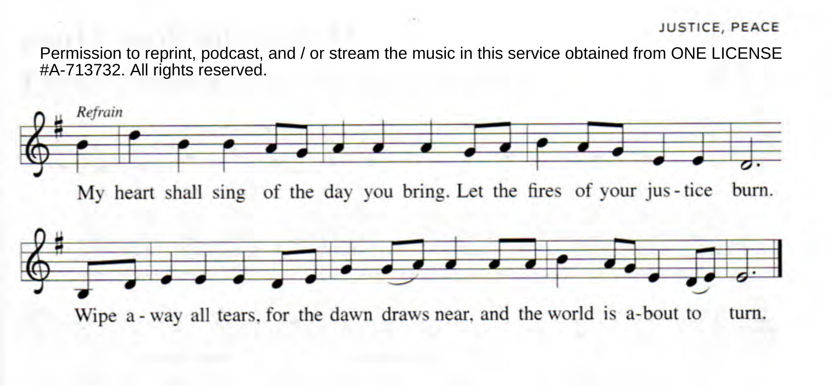## JUSTICE, PEACE

Permission to reprint, podcast, and / or stream the music in this service obtained from ONE LICENSE #A-713732. All rights reserved.

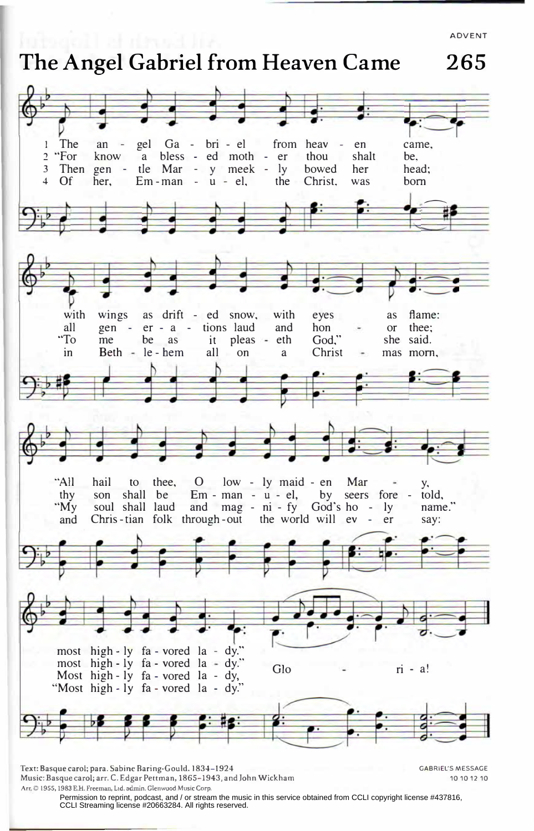ADVENT

## **The Angel Gabriel from Heaven Came 265**

an - gel Ga - bri - el from heav - en came, I The 2 "For know a bless - ed moth - er thou shalt be,<br>gen - tle Mar - y meek - ly bowed her head; gen - tie Mar - y meek - ly bowed her head<br>her. Em-man - u - el. the Christ. was born 3 Then gen  $\frac{1}{\sqrt{1}}$ 4 Of  $Em-man - u - el$ , the Christ, was wings as drift - ed snow, with eyes as flame:<br>gen - er - a - tions laud and hon - or thee; with all er - a - tions laud and hon - or thee;<br>be as it pleas - eth God," she said. "To me as it pleas - eth God,"<br>all on a Christ in le - hem  $Beth$ on a Christ - mas morn, s. "All hail to O low - ly maid - en Mar  $-$  y, thee, son shall be Em - man - u - el, by seers fore - told,<br>and mag - ni - fy God's ho - ly name." thy and mag - ni - fy God's ho - ly<br>hrough-out the world will ev - er "My soul shall laud and Chris-tian folk through-out the world will ev - er say: most high - ly fa - vored la - dy." most high - ly fa - vored la - dy." Glo china est called a - dy, control da - dy, control da - dy, china est ca<br>Most high - ly fa - vored la - dy, china est called a - dy, china est called a - dy, china est called a - dy, Most high-ly fa-vored la-dy, "Most high - ly fa - vored la - dy."

Text: Basque carol; para. Sabine Baring-Gould. 1834-1924 GABRIEL'S MESSAGE Music: Basque carol; arr. C. Edgar Pettman, 1865-1943, and John Wickham 101012 10 **Arr. 0 1955, 1983 E.H. Freeman. Lid. admin. Glenwood Music Corp.** 

Permission to reprint, podcast, and / or stream the music in this service obtained from CCLI copyright license #437816, CCLI Streaming license #20663284. All rights reserved.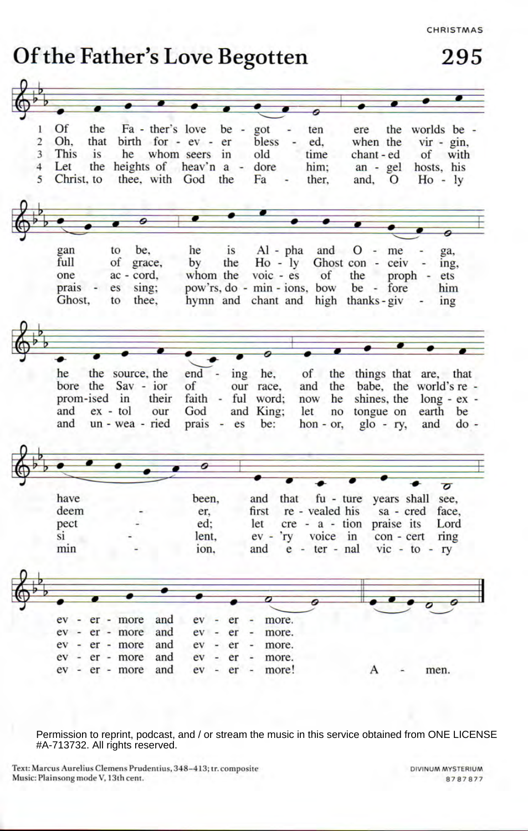CHRISTMAS

## Of the Father's Love Begotten

295

| 1              | <b>Of</b><br>the  |                               | Fa - ther's love be - got | ten<br>$\blacksquare$              | ere                             | the worlds be -           |
|----------------|-------------------|-------------------------------|---------------------------|------------------------------------|---------------------------------|---------------------------|
| $\overline{2}$ | Oh.<br>that       |                               | birth for - ev - er<br>-  | bless<br>ed,                       | when the                        | $vir - gin$ ,             |
| 3              | This<br><i>is</i> |                               | he whom seers in<br>m     | old<br>time                        | chant - ed                      | of with                   |
| 4              | Let<br>the        |                               | heights of heav'n a -     | dore<br>him:                       | $an - gel$                      | hosts, his                |
| 5              | Christ, to        |                               | thee, with God the        | Fa<br>ther,<br>۰                   | and,<br>$\overline{O}$          | $Ho - IV$                 |
|                |                   |                               |                           |                                    |                                 |                           |
|                |                   |                               |                           |                                    |                                 |                           |
|                |                   |                               |                           |                                    |                                 |                           |
|                |                   |                               |                           |                                    |                                 |                           |
|                | gan               | to<br>be.                     | he<br><i>is</i>           | $Al - pha$<br>and                  | $0 -$<br>me                     | ga,                       |
|                | full              | of<br>grace,                  | by<br>the                 | $Ho - ly$                          | Ghost con -                     | $ceiv -$<br>ing,          |
|                | one               | ac - cord,                    | whom the                  | $\overline{v}$ voic - es<br>of     | the                             | proph -<br>ets            |
|                | prais<br>$\sim$   | sing;<br>es                   |                           | pow'rs, do - min - ions, bow       | be - fore                       | him                       |
|                | Ghost,            | thee.<br>to                   |                           | hymn and chant and high thanks-giv |                                 | ing                       |
|                |                   |                               |                           |                                    |                                 |                           |
|                |                   |                               |                           |                                    |                                 |                           |
|                |                   |                               |                           |                                    |                                 |                           |
|                |                   |                               |                           |                                    |                                 |                           |
|                | he                | the source, the               | end<br>$-$ ing            | he,<br>of                          |                                 | the things that are, that |
|                |                   | bore the Sav - ior            | of                        | our race,<br>and<br>the            |                                 | babe, the world's re-     |
|                | prom-ised in      | their                         | faith - ful word;         | now<br>he                          | shines, the                     | $long - ex -$             |
|                | and               | $ex - tol$<br>our             | God                       | and King;<br>let<br>no             | tongue on                       | earth be                  |
|                | and               | un - wea - ried               | prais<br>es<br>$\sim$     | be:<br>$hon - or$ ,                | $g$ lo - ry,                    | and<br>$do -$             |
|                |                   |                               |                           |                                    |                                 |                           |
|                |                   |                               |                           |                                    |                                 |                           |
|                |                   |                               |                           |                                    |                                 |                           |
|                |                   |                               |                           |                                    |                                 | $\overline{\sigma}$       |
|                | have              |                               | been.                     | and                                | that fu - ture years shall see, |                           |
|                | deem              |                               | er.                       | re - vealed his<br>first           |                                 | sa - cred face,           |
|                | pect              |                               | ed:                       | let                                | cre - a - tion praise its       | Lord                      |
|                | si                |                               | lent,                     | ev - 'ry voice in                  | con - cert                      | ring                      |
|                | min               |                               | ion.                      | e - ter - nal<br>and               |                                 | $vic - to - ry$           |
|                |                   |                               |                           |                                    |                                 |                           |
|                |                   |                               |                           |                                    |                                 |                           |
|                |                   |                               |                           |                                    |                                 |                           |
|                |                   |                               |                           |                                    |                                 |                           |
|                |                   |                               |                           |                                    |                                 |                           |
|                | $ev -$<br>$ev -$  | and<br>er - more<br>and       | ev<br>er                  | more.                              |                                 |                           |
|                | ev                | er - more<br>and              | $ev -$<br>er              | more.                              |                                 |                           |
|                | ٠<br>ev           | er - more<br>and<br>er - more | ev<br>er<br>ev            | more.                              |                                 |                           |
|                |                   |                               | er                        | more.                              |                                 |                           |
|                | $ev -$            | and<br>er - more              | ev<br>er<br>$\sim$        | more!<br>$\frac{1}{2}$             | А                               | men.                      |

Permission to reprint, podcast, and / or stream the music in this service obtained from ONE LICENSE #A-713732. All rights reserved.